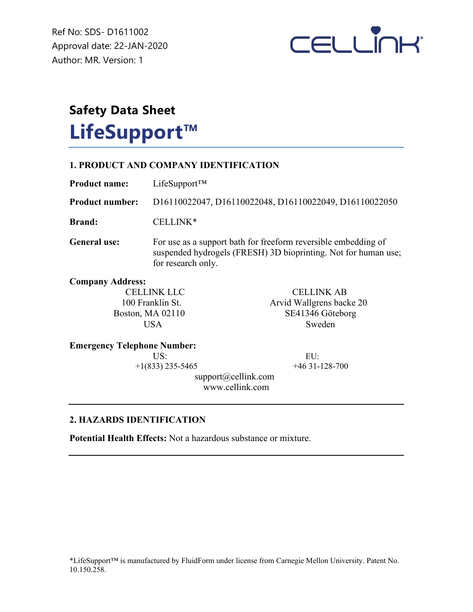Ref No: SDS- D1611002 Approval date: 22-JAN-2020 Author: MR. Version: 1



# **Safety Data Sheet LifeSupport™**

## **1. PRODUCT AND COMPANY IDENTIFICATION Product name:** LifeSupport™

for research only.

**Product number:** D16110022047, D16110022048, D16110022049, D16110022050 **Brand:** CELLINK\* General use: For use as a support bath for freeform reversible embedding of suspended hydrogels (FRESH) 3D bioprinting. Not for human use;

**Company Address:**

CELLINK LLC<br>
100 Franklin St.<br>
100 Franklin St.<br>
100 Franklin St. Arvid Wallgrens backe 20 Boston, MA 02110 SE41346 Göteborg USA Sweden

## **Emergency Telephone Number:**

 US: EU:  $+1(833)$  235-5465  $+46$  31-128-700

 support@cellink.com www.cellink.com

## **2. HAZARDS IDENTIFICATION**

**Potential Health Effects:** Not a hazardous substance or mixture.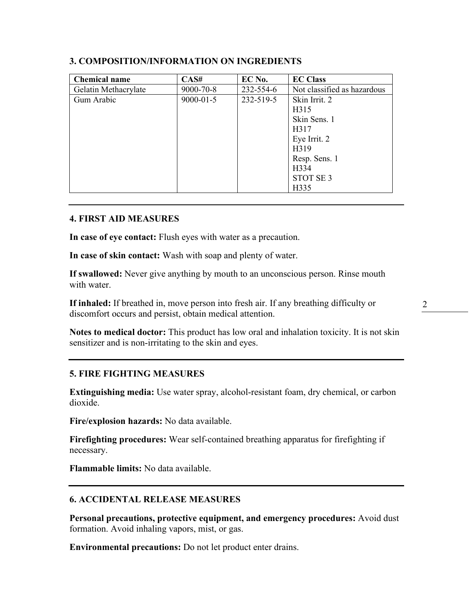| <b>Chemical name</b> | CAS#            | EC No.    | <b>EC Class</b>             |
|----------------------|-----------------|-----------|-----------------------------|
| Gelatin Methacrylate | 9000-70-8       | 232-554-6 | Not classified as hazardous |
| Gum Arabic           | $9000 - 01 - 5$ | 232-519-5 | Skin Irrit. 2               |
|                      |                 |           | H315                        |
|                      |                 |           | Skin Sens. 1                |
|                      |                 |           | H317                        |
|                      |                 |           | Eye Irrit. 2                |
|                      |                 |           | H319                        |
|                      |                 |           | Resp. Sens. 1               |
|                      |                 |           | H334                        |
|                      |                 |           | STOT SE <sub>3</sub>        |
|                      |                 |           | H335                        |

## **3. COMPOSITION/INFORMATION ON INGREDIENTS**

#### **4. FIRST AID MEASURES**

**In case of eye contact:** Flush eyes with water as a precaution.

**In case of skin contact:** Wash with soap and plenty of water.

**If swallowed:** Never give anything by mouth to an unconscious person. Rinse mouth with water.

**If inhaled:** If breathed in, move person into fresh air. If any breathing difficulty or discomfort occurs and persist, obtain medical attention.

**Notes to medical doctor:** This product has low oral and inhalation toxicity. It is not skin sensitizer and is non-irritating to the skin and eyes.

## **5. FIRE FIGHTING MEASURES**

**Extinguishing media:** Use water spray, alcohol-resistant foam, dry chemical, or carbon dioxide.

**Fire/explosion hazards:** No data available.

**Firefighting procedures:** Wear self-contained breathing apparatus for firefighting if necessary.

**Flammable limits:** No data available.

## **6. ACCIDENTAL RELEASE MEASURES**

**Personal precautions, protective equipment, and emergency procedures:** Avoid dust formation. Avoid inhaling vapors, mist, or gas.

**Environmental precautions:** Do not let product enter drains.

2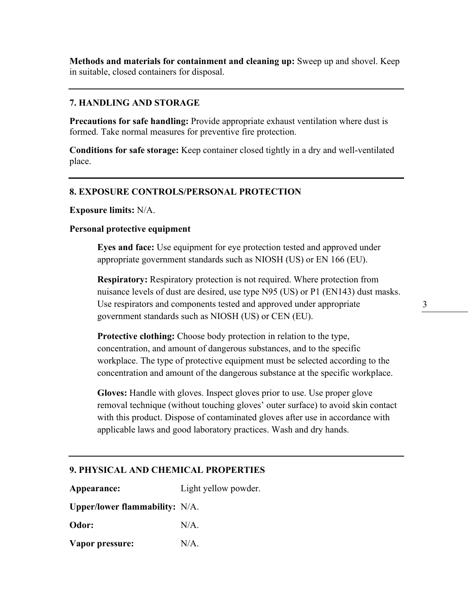**Methods and materials for containment and cleaning up:** Sweep up and shovel. Keep in suitable, closed containers for disposal.

## **7. HANDLING AND STORAGE**

**Precautions for safe handling:** Provide appropriate exhaust ventilation where dust is formed. Take normal measures for preventive fire protection.

**Conditions for safe storage:** Keep container closed tightly in a dry and well-ventilated place.

## **8. EXPOSURE CONTROLS/PERSONAL PROTECTION**

**Exposure limits:** N/A.

#### **Personal protective equipment**

**Eyes and face:** Use equipment for eye protection tested and approved under appropriate government standards such as NIOSH (US) or EN 166 (EU).

**Respiratory:** Respiratory protection is not required. Where protection from nuisance levels of dust are desired, use type N95 (US) or P1 (EN143) dust masks. Use respirators and components tested and approved under appropriate government standards such as NIOSH (US) or CEN (EU).

**Protective clothing:** Choose body protection in relation to the type, concentration, and amount of dangerous substances, and to the specific workplace. The type of protective equipment must be selected according to the concentration and amount of the dangerous substance at the specific workplace.

**Gloves:** Handle with gloves. Inspect gloves prior to use. Use proper glove removal technique (without touching gloves' outer surface) to avoid skin contact with this product. Dispose of contaminated gloves after use in accordance with applicable laws and good laboratory practices. Wash and dry hands.

## **9. PHYSICAL AND CHEMICAL PROPERTIES**

**Appearance:** Light yellow powder. **Upper/lower flammability:** N/A. **Odor:** N/A.

**Vapor pressure:** N/A.

3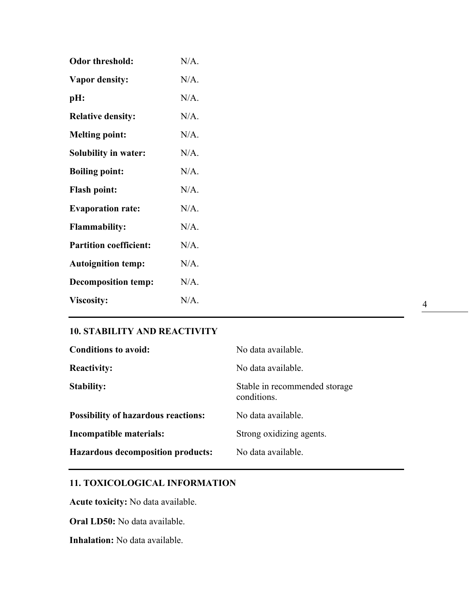| <b>Odor threshold:</b>        | $N/A$ . |
|-------------------------------|---------|
| <b>Vapor density:</b>         | N/A.    |
| pH:                           | N/A.    |
| <b>Relative density:</b>      | $N/A$ . |
| <b>Melting point:</b>         | $N/A$ . |
| <b>Solubility in water:</b>   | $N/A$ . |
| <b>Boiling point:</b>         | $N/A$ . |
| <b>Flash point:</b>           | $N/A$ . |
| <b>Evaporation rate:</b>      | $N/A$ . |
| <b>Flammability:</b>          | $N/A$ . |
| <b>Partition coefficient:</b> | $N/A$ . |
| <b>Autoignition temp:</b>     | $N/A$ . |
| <b>Decomposition temp:</b>    | $N/A$ . |
| <b>Viscosity:</b>             | N/A.    |

## **10. STABILITY AND REACTIVITY**

| <b>Conditions to avoid:</b>                | No data available.                           |
|--------------------------------------------|----------------------------------------------|
| <b>Reactivity:</b>                         | No data available.                           |
| <b>Stability:</b>                          | Stable in recommended storage<br>conditions. |
| <b>Possibility of hazardous reactions:</b> | No data available.                           |
| Incompatible materials:                    | Strong oxidizing agents.                     |
| <b>Hazardous decomposition products:</b>   | No data available.                           |

## **11. TOXICOLOGICAL INFORMATION**

**Acute toxicity:** No data available.

**Oral LD50:** No data available.

**Inhalation:** No data available.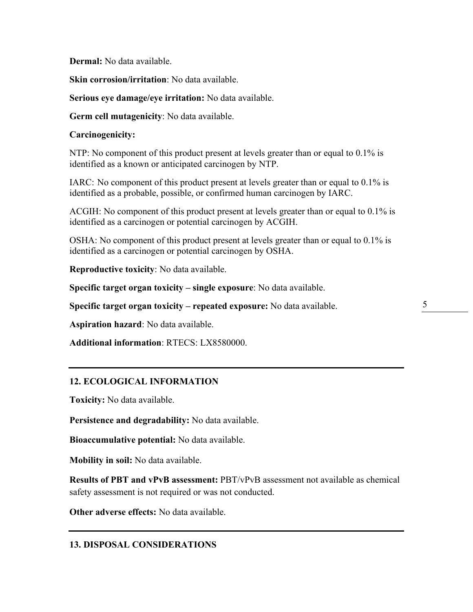**Dermal:** No data available.

**Skin corrosion/irritation**: No data available.

**Serious eye damage/eye irritation:** No data available.

**Germ cell mutagenicity**: No data available.

#### **Carcinogenicity:**

NTP: No component of this product present at levels greater than or equal to 0.1% is identified as a known or anticipated carcinogen by NTP.

IARC: No component of this product present at levels greater than or equal to 0.1% is identified as a probable, possible, or confirmed human carcinogen by IARC.

ACGIH: No component of this product present at levels greater than or equal to 0.1% is identified as a carcinogen or potential carcinogen by ACGIH.

OSHA: No component of this product present at levels greater than or equal to 0.1% is identified as a carcinogen or potential carcinogen by OSHA.

**Reproductive toxicity**: No data available.

**Specific target organ toxicity – single exposure**: No data available.

**Specific target organ toxicity – repeated exposure:** No data available.

**Aspiration hazard**: No data available.

**Additional information**: RTECS: LX8580000.

## **12. ECOLOGICAL INFORMATION**

**Toxicity:** No data available.

**Persistence and degradability:** No data available.

**Bioaccumulative potential:** No data available.

**Mobility in soil:** No data available.

**Results of PBT and vPvB assessment:** PBT/vPvB assessment not available as chemical safety assessment is not required or was not conducted.

**Other adverse effects:** No data available.

## **13. DISPOSAL CONSIDERATIONS**